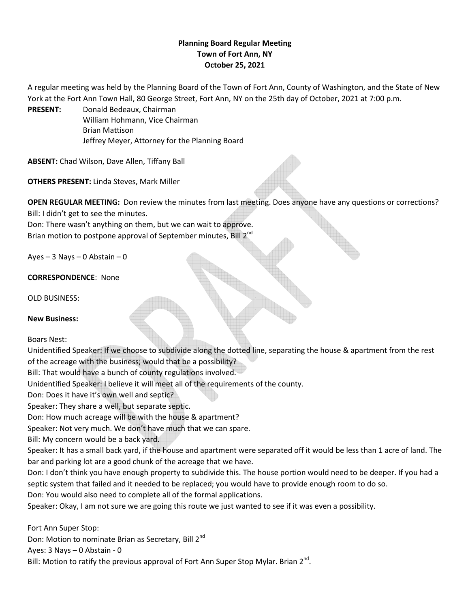## **Planning Board Regular Meeting Town of Fort Ann, NY October 25, 2021**

A regular meeting was held by the Planning Board of the Town of Fort Ann, County of Washington, and the State of New York at the Fort Ann Town Hall, 80 George Street, Fort Ann, NY on the 25th day of October, 2021 at 7:00 p.m.

**PRESENT:** Donald Bedeaux, Chairman William Hohmann, Vice Chairman Brian Mattison Jeffrey Meyer, Attorney for the Planning Board

**ABSENT:** Chad Wilson, Dave Allen, Tiffany Ball

**OTHERS PRESENT:** Linda Steves, Mark Miller

**OPEN REGULAR MEETING:** Don review the minutes from last meeting. Does anyone have any questions or corrections? Bill: I didn't get to see the minutes.

Don: There wasn't anything on them, but we can wait to approve. Brian motion to postpone approval of September minutes, Bill 2<sup>nd</sup>

Ayes – 3 Nays – 0 Abstain – 0

**CORRESPONDENCE**: None

OLD BUSINESS:

**New Business:**

Boars Nest:

Unidentified Speaker: If we choose to subdivide along the dotted line, separating the house & apartment from the rest of the acreage with the business; would that be a possibility?

Bill: That would have a bunch of county regulations involved.

Unidentified Speaker: I believe it will meet all of the requirements of the county.

Don: Does it have it's own well and septic?

Speaker: They share a well, but separate septic.

Don: How much acreage will be with the house & apartment?

Speaker: Not very much. We don't have much that we can spare.

Bill: My concern would be a back yard.

Speaker: It has a small back yard, if the house and apartment were separated off it would be less than 1 acre of land. The bar and parking lot are a good chunk of the acreage that we have.

Don: I don't think you have enough property to subdivide this. The house portion would need to be deeper. If you had a septic system that failed and it needed to be replaced; you would have to provide enough room to do so.

Don: You would also need to complete all of the formal applications.

Speaker: Okay, I am not sure we are going this route we just wanted to see if it was even a possibility.

Fort Ann Super Stop: Don: Motion to nominate Brian as Secretary, Bill 2<sup>nd</sup> Ayes: 3 Nays – 0 Abstain - 0 Bill: Motion to ratify the previous approval of Fort Ann Super Stop Mylar. Brian  $2^{nd}$ .